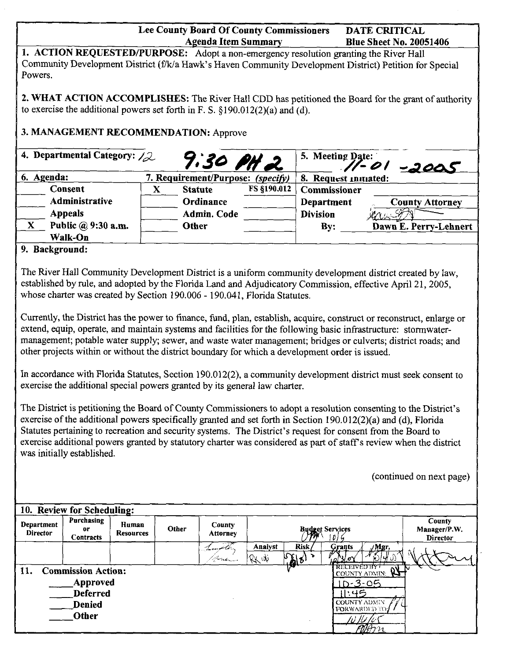|                                      |                                                                                                          |                    |                     | <b>Agenda Item Summary</b> | Lee County Board Of County Commissioners |                                                                                                                                                                                                                                                                                                                                   | <b>DATE CRITICAL</b><br><b>Blue Sheet No. 20051406</b> |                                                                                                                                                                                                                                                                                                                                                                                      |
|--------------------------------------|----------------------------------------------------------------------------------------------------------|--------------------|---------------------|----------------------------|------------------------------------------|-----------------------------------------------------------------------------------------------------------------------------------------------------------------------------------------------------------------------------------------------------------------------------------------------------------------------------------|--------------------------------------------------------|--------------------------------------------------------------------------------------------------------------------------------------------------------------------------------------------------------------------------------------------------------------------------------------------------------------------------------------------------------------------------------------|
| Powers.                              |                                                                                                          |                    |                     |                            |                                          | 1. ACTION REQUESTED/PURPOSE: Adopt a non-emergency resolution granting the River Hall                                                                                                                                                                                                                                             |                                                        | Community Development District (f/k/a Hawk's Haven Community Development District) Petition for Special                                                                                                                                                                                                                                                                              |
|                                      | to exercise the additional powers set forth in F. S. $\S 190.012(2)(a)$ and (d).                         |                    |                     |                            |                                          |                                                                                                                                                                                                                                                                                                                                   |                                                        | 2. WHAT ACTION ACCOMPLISHES: The River Hall CDD has petitioned the Board for the grant of authority                                                                                                                                                                                                                                                                                  |
|                                      | 3. MANAGEMENT RECOMMENDATION: Approve                                                                    |                    |                     |                            |                                          |                                                                                                                                                                                                                                                                                                                                   |                                                        |                                                                                                                                                                                                                                                                                                                                                                                      |
| 4. Departmental Category: $\angle 2$ |                                                                                                          |                    | 9:30 PH 2           |                            |                                          | 5. Meeting Date:<br>71-01 -2005                                                                                                                                                                                                                                                                                                   |                                                        |                                                                                                                                                                                                                                                                                                                                                                                      |
| 6. Agenda:                           |                                                                                                          |                    |                     |                            | 7. Requirement/Purpose: (specify)        | 8. Request initiated:                                                                                                                                                                                                                                                                                                             |                                                        |                                                                                                                                                                                                                                                                                                                                                                                      |
|                                      | Consent                                                                                                  |                    | <b>Statute</b><br>X |                            | FS §190.012                              | Commissioner                                                                                                                                                                                                                                                                                                                      |                                                        |                                                                                                                                                                                                                                                                                                                                                                                      |
|                                      | Administrative                                                                                           |                    |                     | Ordinance                  |                                          | Department                                                                                                                                                                                                                                                                                                                        |                                                        | <b>County Attorney</b>                                                                                                                                                                                                                                                                                                                                                               |
|                                      | <b>Appeals</b>                                                                                           |                    |                     | <b>Admin. Code</b>         |                                          | <b>Division</b>                                                                                                                                                                                                                                                                                                                   |                                                        |                                                                                                                                                                                                                                                                                                                                                                                      |
| $\mathbf{X}$                         | Public @ 9:30 a.m.                                                                                       |                    | <b>Other</b>        |                            |                                          |                                                                                                                                                                                                                                                                                                                                   |                                                        |                                                                                                                                                                                                                                                                                                                                                                                      |
|                                      | Walk-On                                                                                                  |                    |                     |                            |                                          | By:                                                                                                                                                                                                                                                                                                                               |                                                        | Dawn E. Perry-Lehnert                                                                                                                                                                                                                                                                                                                                                                |
| 9. Background:                       |                                                                                                          |                    |                     |                            |                                          |                                                                                                                                                                                                                                                                                                                                   |                                                        |                                                                                                                                                                                                                                                                                                                                                                                      |
|                                      | whose charter was created by Section 190.006 - 190.041, Florida Statutes.                                |                    |                     |                            |                                          | established by rule, and adopted by the Florida Land and Adjudicatory Commission, effective April 21, 2005,<br>extend, equip, operate, and maintain systems and facilities for the following basic infrastructure: stormwater-<br>other projects within or without the district boundary for which a development order is issued. |                                                        | Currently, the District has the power to finance, fund, plan, establish, acquire, construct or reconstruct, enlarge or<br>management; potable water supply; sewer, and waste water management; bridges or culverts; district roads; and                                                                                                                                              |
|                                      | exercise the additional special powers granted by its general law charter.<br>was initially established. |                    |                     |                            |                                          | exercise of the additional powers specifically granted and set forth in Section 190.012(2)(a) and (d), Florida<br>Statutes pertaining to recreation and security systems. The District's request for consent from the Board to                                                                                                    |                                                        | In accordance with Florida Statutes, Section 190.012(2), a community development district must seek consent to<br>The District is petitioning the Board of County Commissioners to adopt a resolution consenting to the District's<br>exercise additional powers granted by statutory charter was considered as part of staff's review when the district<br>(continued on next page) |
|                                      |                                                                                                          |                    |                     |                            |                                          |                                                                                                                                                                                                                                                                                                                                   |                                                        |                                                                                                                                                                                                                                                                                                                                                                                      |
|                                      | 10. Review for Scheduling:                                                                               |                    |                     |                            |                                          |                                                                                                                                                                                                                                                                                                                                   |                                                        |                                                                                                                                                                                                                                                                                                                                                                                      |
| Department<br><b>Director</b>        | Purchasing<br>or<br><b>Contracts</b>                                                                     | Human<br>Resources | Other               | <b>County</b><br>Attorney  |                                          | <b>Budget Services</b><br>D)                                                                                                                                                                                                                                                                                                      |                                                        | County<br>Manager/P.W.<br>Director                                                                                                                                                                                                                                                                                                                                                   |
|                                      |                                                                                                          |                    |                     |                            | Analyst                                  | <b>Risk</b><br><b>Grants</b>                                                                                                                                                                                                                                                                                                      | /Mgr,                                                  |                                                                                                                                                                                                                                                                                                                                                                                      |
|                                      |                                                                                                          |                    |                     | Joseph                     | RXIV                                     | $\frac{ \mathcal{C} }{ \mathcal{C} }$                                                                                                                                                                                                                                                                                             |                                                        |                                                                                                                                                                                                                                                                                                                                                                                      |
| 11.                                  | <b>Commission Action:</b>                                                                                |                    |                     |                            |                                          |                                                                                                                                                                                                                                                                                                                                   | RECEIVED BY                                            |                                                                                                                                                                                                                                                                                                                                                                                      |
|                                      | <b>Approved</b>                                                                                          |                    |                     |                            |                                          |                                                                                                                                                                                                                                                                                                                                   | $10 - 3 - 05$                                          |                                                                                                                                                                                                                                                                                                                                                                                      |
|                                      | <b>Deferred</b>                                                                                          |                    |                     |                            |                                          |                                                                                                                                                                                                                                                                                                                                   | 11:45                                                  |                                                                                                                                                                                                                                                                                                                                                                                      |
|                                      | <b>Denied</b>                                                                                            |                    |                     |                            |                                          |                                                                                                                                                                                                                                                                                                                                   |                                                        |                                                                                                                                                                                                                                                                                                                                                                                      |
|                                      | <b>Other</b>                                                                                             |                    |                     |                            |                                          |                                                                                                                                                                                                                                                                                                                                   | COUNTY ADMIN<br>$\overline{\eta}$ Arr $_{1}$           |                                                                                                                                                                                                                                                                                                                                                                                      |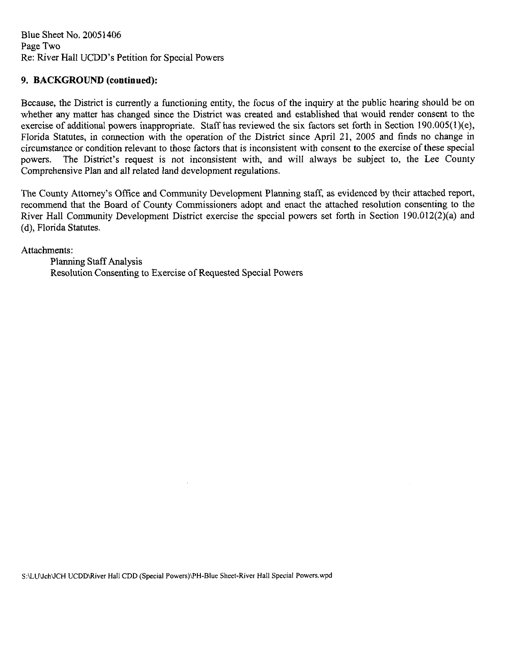Blue Sheet No. 20051406 Page Two Re: River Hall UCDD's Petition for Special Powers

#### **9. BACKGROUND (continued):**

Because, the District is currently a functioning entity, the focus of the inquiry at the public hearing should be on whether any matter has changed since the District was created and established that would render consent to the exercise of additional powers inappropriate. Staff has reviewed the six factors set forth in Section 190.00S(l)(e), Florida Statutes, in connection with the operation of the District since April 21, 2005 and finds no change in circumstance or condition relevant to those factors that is inconsistent with consent to the exercise of these special powers. The District's request is not inconsistent with, and will always be subject to, the Lee County Comprehensive Plan and all related land development regulations.

The County Attorney's Office and Community Development Planning staff, as evidenced by their attached report, recommend that the Board of County Commissioners adopt and enact the attached resolution consenting to the River Hall Community Development District exercise the special powers set forth in Section 190.012(2)(a) and (d), Florida Statutes.

Attachments:

Planning Staff Analysis Resolution Consenting to Exercise of Requested Special Powers

S:\LU\Jch\JCH UCDD\River Hall CDD (Special Powers)\PH-Blue Sheet-River Hall Special Powers.wpd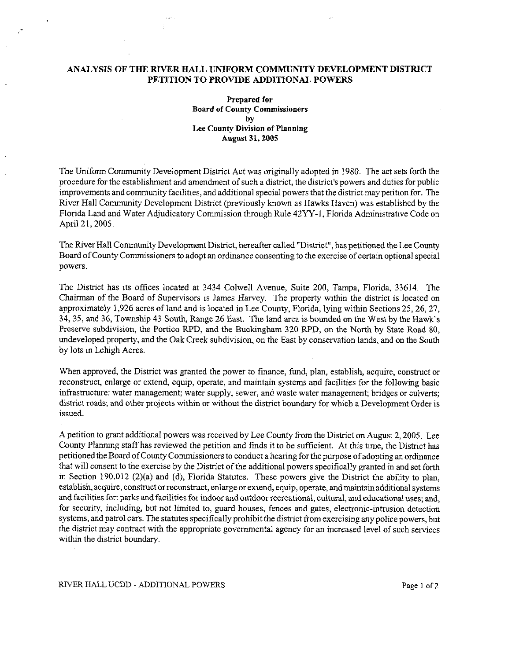#### **ANALYSIS OF THE RIVER HALL UNIFORM COMMUNITY DEVELOPMENT DISTRICT PETITION TO PROVIDE ADDITIONAL POWERS**

**Prepared for Board of County Commissioners by Lee County Division of Planning August 31, 2005** 

The Uniform Community Development District Act was originally adopted in 1980. The act sets forth the procedure for the establishment and amendment of such a district, the district's powers and duties for public improvements and community facilities, and additional special powers that the district may petition for. The River Hall Community Development District (previously lmown as Hawks Haven) was established by the Florida Land and Water Adjudicatory Commission through Rule 42YY-l, Florida Administrative Code on April 21, 2005.

The River Hall Community Development District, hereafter called "District", has petitioned the Lee County Board of County Commissioners to adopt an ordinance consenting to the exercise of certain optional special powers.

The District has its offices located at 3434 Colwell Avenue, Suite 200, Tampa, Florida, 33614. The Chairman of the Board of Supervisors is James Harvey. The property within the district is located on approximately 1,926 acres of land and is located in Lee County, Florida, lying within Sections 25, 26, 27, 34, 35, and 36, Township 43 South, Range 26 East. The land area is bounded on the West by the Hawk's Preserve subdivision, the Portico RPD, and the Buckingham 320 RPD, on the North by State Road 80, undeveloped property, and the Oak Creek subdivision, on the East by conservation lands, and on the South by lots in Lehigh Acres.

When approved, the District was granted the power to finance, fund, plan, establish, acquire, construct or reconstruct, enlarge or extend, equip, operate, and maintain systems and facilities for the following basic infrastructure: water management; water supply, sewer, and waste water management; bridges or culverts; district roads; and other projects within or without the district boundary for which a Development Order is issued.

A petition to grant additional powers was received by Lee County from the District on August 2, 2005. Lee County Planning staff has reviewed the petition and finds it to be sufficient. At this time, the District has petitioned the Board of County Commissioners to conduct a hearing for the purpose of adopting an ordinance that will consent to the exercise by the District of the additional powers specifically granted in and set forth in Section 190.012 (2){a) and (d), Florida Statutes. These powers give the District the ability to plan, establish, acquire, construct orreconstruct, enlarge or extend, equip, operate, and maintain additional systems and facilities for: parks and facilities for indoor and outdoor recreational, cultural, and educational uses; and, for security, including, but not limited to, guard houses, fences and gates, electronic-intrusion detection systems, and patrol cars. The statutes specifically prohibit the district from exercising any police powers, but the district may contract with the appropriate governmental agency for an increased level of such services within the district boundary.

RIVER HALL UCDD - ADDITIONAL POWERS Page 1 of 2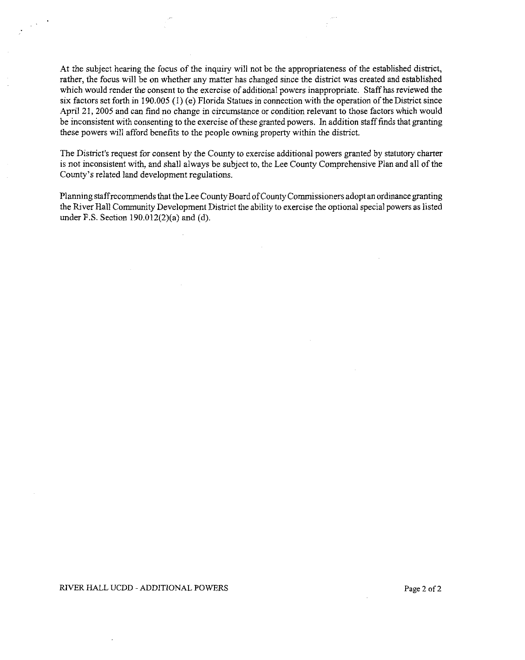At the subject hearing the focus of the inquiry will not be the appropriateness of the established district, rather, the focus will be on whether any matter has changed since the district was created and established which would render the consent to the exercise of additional powers inappropriate. Staff has reviewed the six factors set forth in 190.005 (1) (e) Florida Statues in connection with the operation of the District since April 21, 2005 and can find no change in circumstance or condition relevant to those factors which would be inconsistent with consenting to the exercise of these granted powers. In addition staff finds that granting these powers will afford benefits to the people owning property within the district.

The District's request for consent by the County to exercise additional powers granted by statutory charter is not inconsistent with, and shall always be subject to, the Lee County Comprehensive Plan and aJI of the County's related land development regulations.

Planning staff recommends that the Lee County Board ofCounty Commissioners adopt an ordinance granting the River Hall Community Development District the ability to exercise the optional special powers as listed under F.S. Section 190.012(2)(a) and (d).

#### RIVER HALL UCDD - ADDITIONAL POWERS Page 2 of 2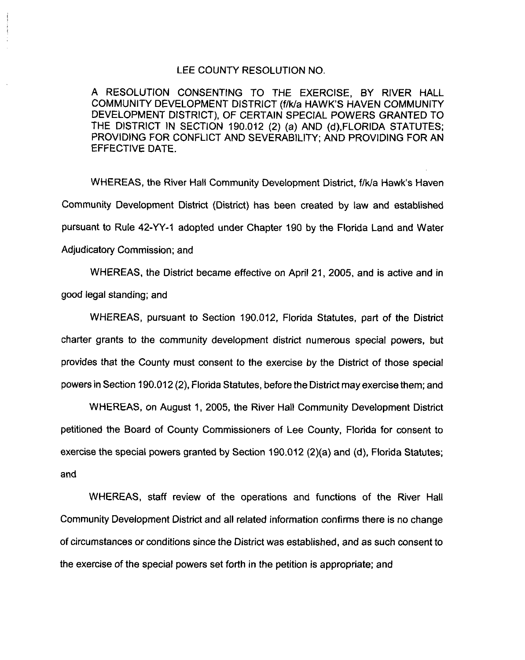#### LEE COUNTY RESOLUTION NO.

A RESOLUTION CONSENTING TO THE EXERCISE, BY RIVER HALL COMMUNITY DEVELOPMENT DISTRICT (f/k/a HAWK'S HAVEN COMMUNITY DEVELOPMENT DISTRICT), OF CERTAIN SPECIAL POWERS GRANTED TO THE DISTRICT IN SECTION 190.012 (2) (a) AND (d),FLORIDA STATUTES; PROVIDING FOR CONFLICT AND SEVERABILITY; AND PROVIDING FOR AN EFFECTIVE DATE.

WHEREAS, the River Hall Community Development District, f/k/a Hawk's Haven Community Development District (District) has been created by law and established pursuant to Rule 42-YY-1 adopted under Chapter 190 by the Florida Land and Water Adjudicatory Commission; and

WHEREAS, the District became effective on April 21, 2005, and is active and in good legal standing; and

WHEREAS, pursuant to Section 190.012, Florida Statutes, part of the District charter grants to the community development district numerous special powers, but provides that the County must consent to the exercise by the District of those special powers in Section 190.012 (2), Florida Statutes, before the District may exercise them; and

WHEREAS, on August 1, 2005, the River Hall Community Development District petitioned the Board of County Commissioners of Lee County, Florida for consent to exercise the special powers granted by Section 190.012 (2)(a) and (d), Florida Statutes; and

WHEREAS, staff review of the operations and functions of the River Hall Community Development District and all related information confirms there is no change of circumstances or conditions since the District was established, and as such consent to the exercise of the special powers set forth in the petition is appropriate; and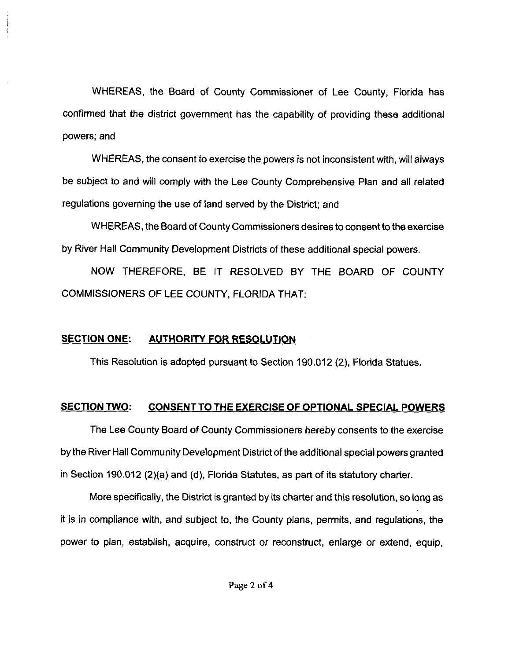WHEREAS, the Board of County Commissioner of Lee County, Florida has confirmed that the district government has the capability of providing these additional powers; and

WHEREAS, the consent to exercise the powers is not inconsistent with, will always be subject to and will comply with the Lee County Comprehensive Plan and all related regulations governing the use of land served by the District; and

WHEREAS, the Board of County Commissioners desires to consent to the exercise by River Hall Community Development Districts of these additional special powers.

NOW THEREFORE, BE IT RESOLVED BY THE BOARD OF COUNTY COMMISSIONERS OF LEE COUNTY, FLORIDA THAT:

### **SECTION ONE: AUTHORITY FOR RESOLUTION**

This Resolution is adopted pursuant to Section 190.012 (2), Florida Statues.

### **SECTION TWO: CONSENT TO THE EXERCISE OF OPTIONAL SPECIAL POWERS**

The Lee County Board of County Commissioners hereby consents to the exercise by the River Hall Community Development District of the additional special powers granted in Section 190.012 (2)(a) and (d), Florida Statutes, as part of its statutory charter.

More specifically, the District is granted by its charter and this resolution, so long as it is in compliance with, and subject to, the County plans, permits, and regulations, the power to plan, establish, acquire, construct or reconstruct, enlarge or extend, equip,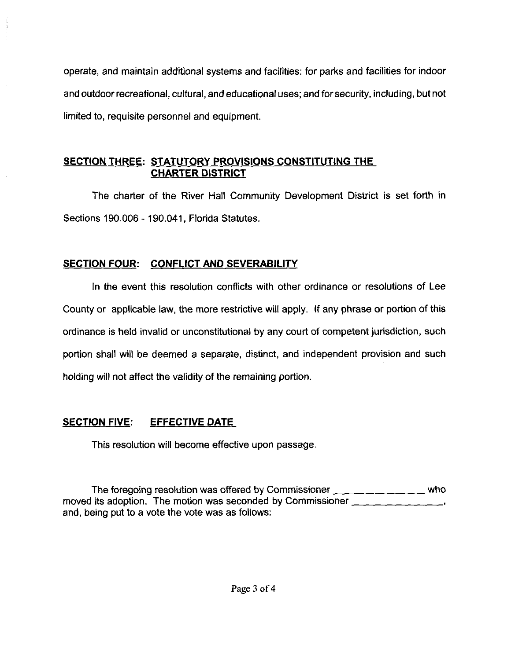operate, and maintain additional systems and facilities: for parks and facilities for indoor and outdoor recreational, cultural, and educational uses; and for security, including, but not limited to, requisite personnel and equipment.

## **SECTION THREE: STATUTORY PROVISIONS CONSTITUTING THE CHARTER DISTRICT**

The charter of the River Hall Community Development District is set forth in Sections 190.006 - 190.041, Florida Statutes.

## **SECTION FOUR: CONFLICT AND SEVERABILITY**

In the event this resolution conflicts with other ordinance or resolutions of Lee County or applicable law, the more restrictive will apply. If any phrase or portion of this ordinance is held invalid or unconstitutional by any court of competent jurisdiction, such portion shall will be deemed a separate, distinct, and independent provision and such holding will not affect the validity of the remaining portion.

# **SECTION FIVE: EFFECTIVE DATE**

This resolution will become effective upon passage.

The foregoing resolution was offered by Commissioner \_\_\_\_\_\_\_\_ who moved its adoption. The motion was seconded by Commissioner  $\frac{1}{2}$ and, being put to a vote the vote was as follows: